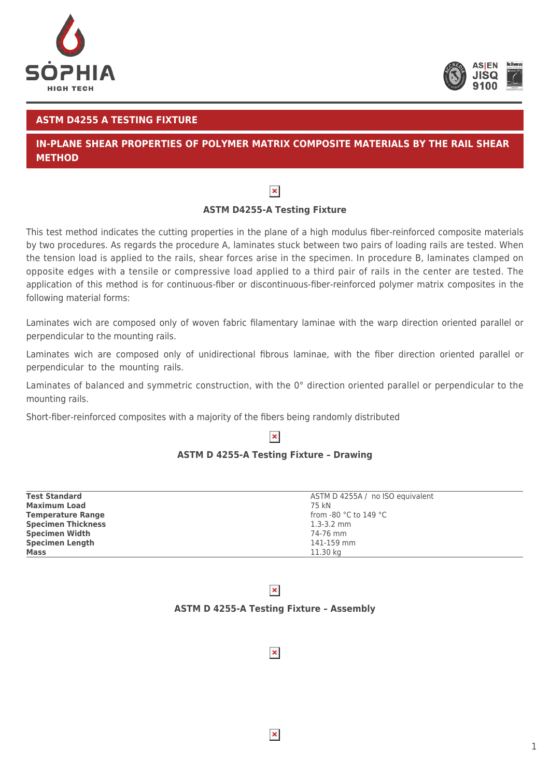



1

## **ASTM D4255 A TESTING FIXTURE**

# **IN-PLANE SHEAR PROPERTIES OF POLYMER MATRIX COMPOSITE MATERIALS BY THE RAIL SHEAR METHOD**



# **ASTM D4255-A Testing Fixture**

This test method indicates the cutting properties in the plane of a high modulus fiber-reinforced composite materials by two procedures. As regards the procedure A, laminates stuck between two pairs of loading rails are tested. When the tension load is applied to the rails, shear forces arise in the specimen. In procedure B, laminates clamped on opposite edges with a tensile or compressive load applied to a third pair of rails in the center are tested. The application of this method is for continuous-fiber or discontinuous-fiber-reinforced polymer matrix composites in the following material forms:

Laminates wich are composed only of woven fabric filamentary laminae with the warp direction oriented parallel or perpendicular to the mounting rails.

Laminates wich are composed only of unidirectional fibrous laminae, with the fiber direction oriented parallel or perpendicular to the mounting rails.

Laminates of balanced and symmetric construction, with the 0° direction oriented parallel or perpendicular to the mounting rails.

Short-fiber-reinforced composites with a majority of the fibers being randomly distributed

### $\pmb{\times}$

### **ASTM D 4255-A Testing Fixture – Drawing**

| <b>Test Standard</b>      | ASTM D 4255A / no ISO equivalent          |
|---------------------------|-------------------------------------------|
| <b>Maximum Load</b>       | 75 kN                                     |
| <b>Temperature Range</b>  | from -80 $^{\circ}$ C to 149 $^{\circ}$ C |
| <b>Specimen Thickness</b> | $1.3 - 3.2$ mm                            |
| <b>Specimen Width</b>     | 74-76 mm                                  |
| <b>Specimen Length</b>    | 141-159 mm                                |
| <b>Mass</b>               | 11.30 kg                                  |

# $\pmb{\times}$

### **ASTM D 4255-A Testing Fixture – Assembly**

 $\pmb{\times}$